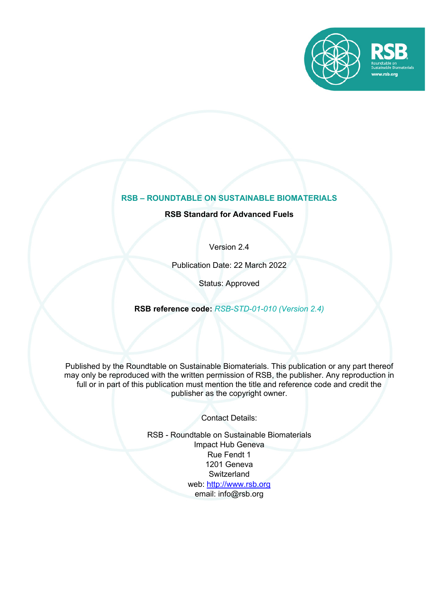

# **RSB – ROUNDTABLE ON SUSTAINABLE BIOMATERIALS**

# **RSB Standard for Advanced Fuels**

Version 2.4

Publication Date: 22 March 2022

Status: Approved

**RSB reference code:** *RSB-STD-01-010 (Version 2.4)*

Published by the Roundtable on Sustainable Biomaterials. This publication or any part thereof may only be reproduced with the written permission of RSB, the publisher. Any reproduction in full or in part of this publication must mention the title and reference code and credit the publisher as the copyright owner.

Contact Details:

RSB - Roundtable on Sustainable Biomaterials Impact Hub Geneva Rue Fendt 1 1201 Geneva **Switzerland** web: http://www.rsb.org email: info@rsb.org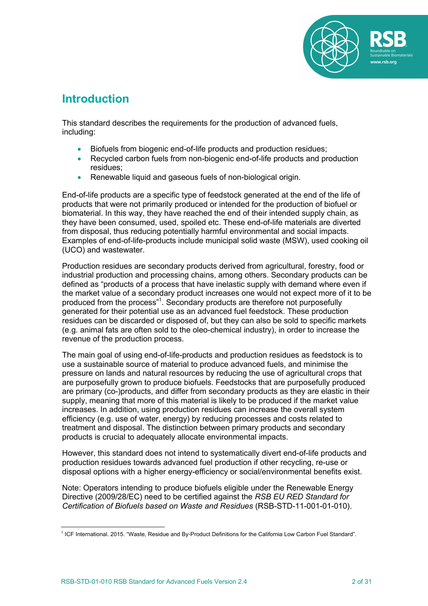

# **Introduction**

This standard describes the requirements for the production of advanced fuels, including:

- Biofuels from biogenic end-of-life products and production residues;
- Recycled carbon fuels from non-biogenic end-of-life products and production residues;
- Renewable liquid and gaseous fuels of non-biological origin.

End-of-life products are a specific type of feedstock generated at the end of the life of products that were not primarily produced or intended for the production of biofuel or biomaterial. In this way, they have reached the end of their intended supply chain, as they have been consumed, used, spoiled etc. These end-of-life materials are diverted from disposal, thus reducing potentially harmful environmental and social impacts. Examples of end-of-life-products include municipal solid waste (MSW), used cooking oil (UCO) and wastewater.

Production residues are secondary products derived from agricultural, forestry, food or industrial production and processing chains, among others. Secondary products can be defined as "products of a process that have inelastic supply with demand where even if the market value of a secondary product increases one would not expect more of it to be produced from the process"<sup>1</sup>. Secondary products are therefore not purposefully generated for their potential use as an advanced fuel feedstock. These production residues can be discarded or disposed of, but they can also be sold to specific markets (e.g. animal fats are often sold to the oleo-chemical industry), in order to increase the revenue of the production process.

The main goal of using end-of-life-products and production residues as feedstock is to use a sustainable source of material to produce advanced fuels, and minimise the pressure on lands and natural resources by reducing the use of agricultural crops that are purposefully grown to produce biofuels. Feedstocks that are purposefully produced are primary (co-)products, and differ from secondary products as they are elastic in their supply, meaning that more of this material is likely to be produced if the market value increases. In addition, using production residues can increase the overall system efficiency (e.g. use of water, energy) by reducing processes and costs related to treatment and disposal. The distinction between primary products and secondary products is crucial to adequately allocate environmental impacts.

However, this standard does not intend to systematically divert end-of-life products and production residues towards advanced fuel production if other recycling, re-use or disposal options with a higher energy-efficiency or social/environmental benefits exist.

Note: Operators intending to produce biofuels eligible under the Renewable Energy Directive (2009/28/EC) need to be certified against the *RSB EU RED Standard for Certification of Biofuels based on Waste and Residues* (RSB-STD-11-001-01-010).

<sup>&</sup>lt;sup>1</sup> ICF International. 2015. "Waste, Residue and By-Product Definitions for the California Low Carbon Fuel Standard".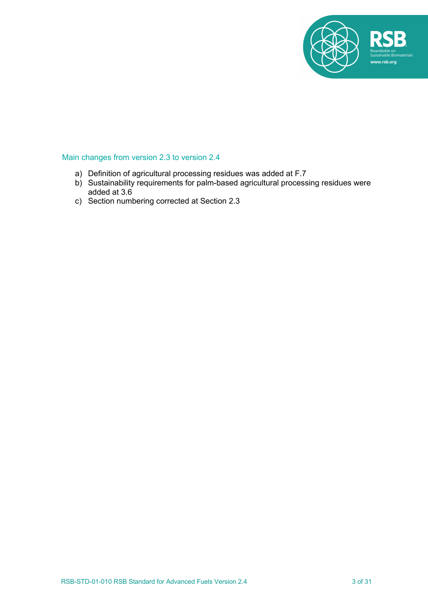

# Main changes from version 2.3 to version 2.4

- a) Definition of agricultural processing residues was added at F.7
- b) Sustainability requirements for palm-based agricultural processing residues were added at 3.6
- c) Section numbering corrected at Section 2.3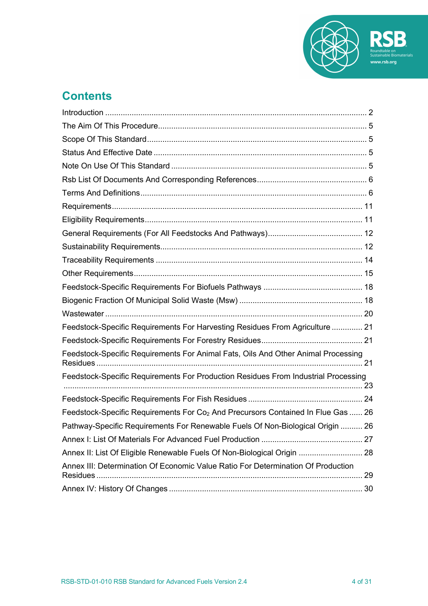

# **Contents**

| Feedstock-Specific Requirements For Harvesting Residues From Agriculture  21                 |  |
|----------------------------------------------------------------------------------------------|--|
|                                                                                              |  |
| Feedstock-Specific Requirements For Animal Fats, Oils And Other Animal Processing            |  |
| Feedstock-Specific Requirements For Production Residues From Industrial Processing           |  |
|                                                                                              |  |
| Feedstock-Specific Requirements For Co <sub>2</sub> And Precursors Contained In Flue Gas  26 |  |
| Pathway-Specific Requirements For Renewable Fuels Of Non-Biological Origin  26               |  |
|                                                                                              |  |
| Annex II: List Of Eligible Renewable Fuels Of Non-Biological Origin  28                      |  |
| Annex III: Determination Of Economic Value Ratio For Determination Of Production<br>Residues |  |
|                                                                                              |  |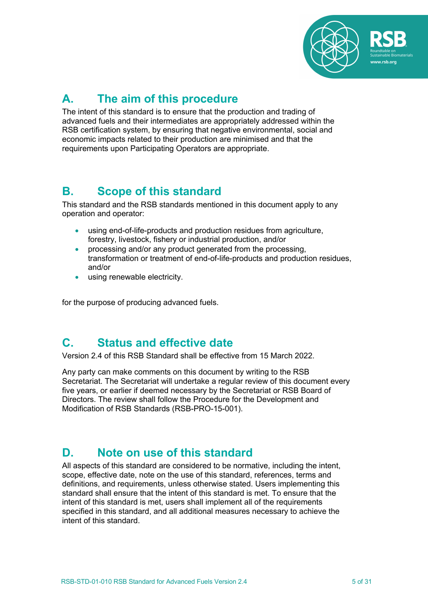

# **A. The aim of this procedure**

The intent of this standard is to ensure that the production and trading of advanced fuels and their intermediates are appropriately addressed within the RSB certification system, by ensuring that negative environmental, social and economic impacts related to their production are minimised and that the requirements upon Participating Operators are appropriate.

# **B. Scope of this standard**

This standard and the RSB standards mentioned in this document apply to any operation and operator:

- using end-of-life-products and production residues from agriculture, forestry, livestock, fishery or industrial production, and/or
- processing and/or any product generated from the processing, transformation or treatment of end-of-life-products and production residues, and/or
- using renewable electricity.

for the purpose of producing advanced fuels.

# **C. Status and effective date**

Version 2.4 of this RSB Standard shall be effective from 15 March 2022.

Any party can make comments on this document by writing to the RSB Secretariat. The Secretariat will undertake a regular review of this document every five years, or earlier if deemed necessary by the Secretariat or RSB Board of Directors. The review shall follow the Procedure for the Development and Modification of RSB Standards (RSB-PRO-15-001).

# **D. Note on use of this standard**

All aspects of this standard are considered to be normative, including the intent, scope, effective date, note on the use of this standard, references, terms and definitions, and requirements, unless otherwise stated. Users implementing this standard shall ensure that the intent of this standard is met. To ensure that the intent of this standard is met, users shall implement all of the requirements specified in this standard, and all additional measures necessary to achieve the intent of this standard.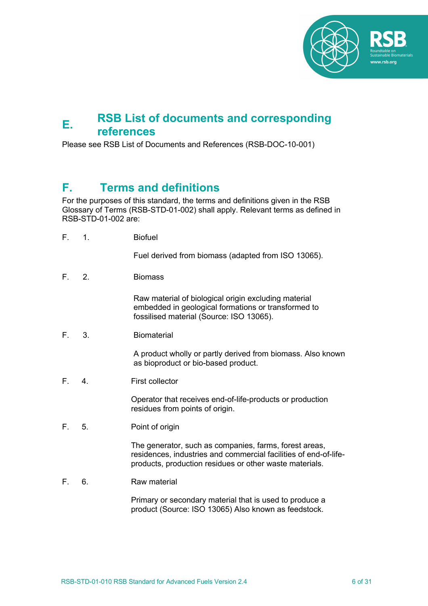

# **E. RSB List of documents and corresponding references**

Please see RSB List of Documents and References (RSB-DOC-10-001)

# **F. Terms and definitions**

For the purposes of this standard, the terms and definitions given in the RSB Glossary of Terms (RSB-STD-01-002) shall apply. Relevant terms as defined in RSB-STD-01-002 are:

F. 1. Biofuel

Fuel derived from biomass (adapted from ISO 13065).

F. 2. Biomass

Raw material of biological origin excluding material embedded in geological formations or transformed to fossilised material (Source: ISO 13065).

F. 3. Biomaterial

A product wholly or partly derived from biomass. Also known as bioproduct or bio-based product.

F. 4. First collector

Operator that receives end-of-life-products or production residues from points of origin.

F. 5. Point of origin

The generator, such as companies, farms, forest areas, residences, industries and commercial facilities of end-of-lifeproducts, production residues or other waste materials.

F. 6. Raw material

Primary or secondary material that is used to produce a product (Source: ISO 13065) Also known as feedstock.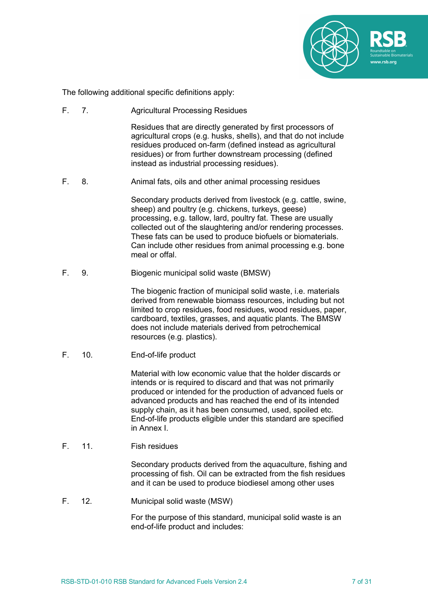

The following additional specific definitions apply:

F. 7. Agricultural Processing Residues

Residues that are directly generated by first processors of agricultural crops (e.g. husks, shells), and that do not include residues produced on-farm (defined instead as agricultural residues) or from further downstream processing (defined instead as industrial processing residues).

F. 8. Animal fats, oils and other animal processing residues

Secondary products derived from livestock (e.g. cattle, swine, sheep) and poultry (e.g. chickens, turkeys, geese) processing, e.g. tallow, lard, poultry fat. These are usually collected out of the slaughtering and/or rendering processes. These fats can be used to produce biofuels or biomaterials. Can include other residues from animal processing e.g. bone meal or offal.

F. 9. Biogenic municipal solid waste (BMSW)

The biogenic fraction of municipal solid waste, i.e. materials derived from renewable biomass resources, including but not limited to crop residues, food residues, wood residues, paper, cardboard, textiles, grasses, and aquatic plants. The BMSW does not include materials derived from petrochemical resources (e.g. plastics).

F. 10. End-of-life product

Material with low economic value that the holder discards or intends or is required to discard and that was not primarily produced or intended for the production of advanced fuels or advanced products and has reached the end of its intended supply chain, as it has been consumed, used, spoiled etc. End-of-life products eligible under this standard are specified in Annex I.

F 11 Fish residues

Secondary products derived from the aquaculture, fishing and processing of fish. Oil can be extracted from the fish residues and it can be used to produce biodiesel among other uses

F. 12. Municipal solid waste (MSW)

For the purpose of this standard, municipal solid waste is an end-of-life product and includes: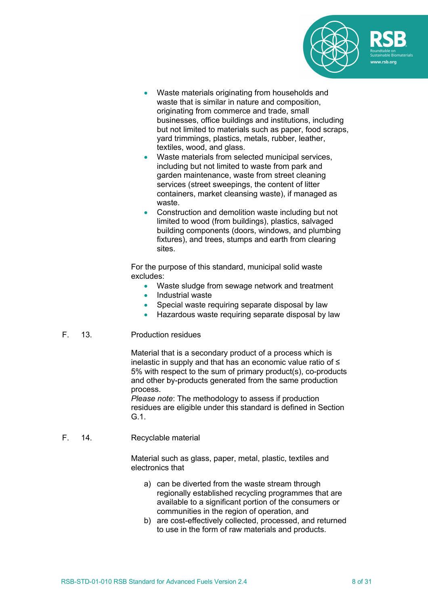

- Waste materials originating from households and waste that is similar in nature and composition, originating from commerce and trade, small businesses, office buildings and institutions, including but not limited to materials such as paper, food scraps, yard trimmings, plastics, metals, rubber, leather, textiles, wood, and glass.
- Waste materials from selected municipal services, including but not limited to waste from park and garden maintenance, waste from street cleaning services (street sweepings, the content of litter containers, market cleansing waste), if managed as waste.
- Construction and demolition waste including but not limited to wood (from buildings), plastics, salvaged building components (doors, windows, and plumbing fixtures), and trees, stumps and earth from clearing sites.

For the purpose of this standard, municipal solid waste excludes:

- Waste sludge from sewage network and treatment<br>• Industrial waste
- Industrial waste
- Special waste requiring separate disposal by law
- Hazardous waste requiring separate disposal by law
- F. 13. Production residues

Material that is a secondary product of a process which is inelastic in supply and that has an economic value ratio of ≤ 5% with respect to the sum of primary product(s), co-products and other by-products generated from the same production process.

*Please note*: The methodology to assess if production residues are eligible under this standard is defined in Section G.1.

F. 14. Recyclable material

Material such as glass, paper, metal, plastic, textiles and electronics that

- a) can be diverted from the waste stream through regionally established recycling programmes that are available to a significant portion of the consumers or communities in the region of operation, and
- b) are cost-effectively collected, processed, and returned to use in the form of raw materials and products.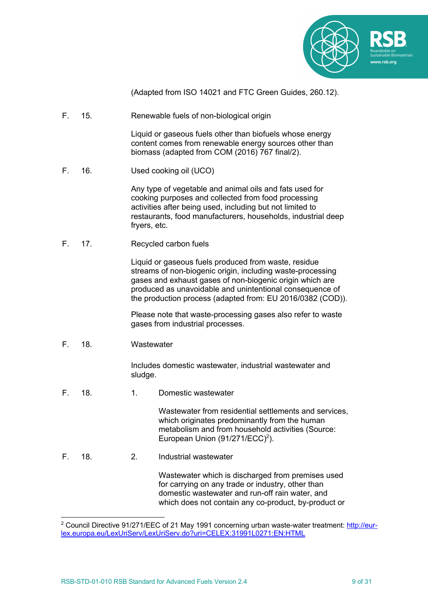

(Adapted from ISO 14021 and FTC Green Guides, 260.12).

F. 15. Renewable fuels of non-biological origin

Liquid or gaseous fuels other than biofuels whose energy content comes from renewable energy sources other than biomass (adapted from COM (2016) 767 final/2).

F. 16. Used cooking oil (UCO)

Any type of vegetable and animal oils and fats used for cooking purposes and collected from food processing activities after being used, including but not limited to restaurants, food manufacturers, households, industrial deep fryers, etc.

F. 17. Recycled carbon fuels

Liquid or gaseous fuels produced from waste, residue streams of non-biogenic origin, including waste-processing gases and exhaust gases of non-biogenic origin which are produced as unavoidable and unintentional consequence of the production process (adapted from: EU 2016/0382 (COD)).

Please note that waste-processing gases also refer to waste gases from industrial processes.

F. 18. Wastewater

Includes domestic wastewater, industrial wastewater and sludge.

F. 18. 1. Domestic wastewater

Wastewater from residential settlements and services, which originates predominantly from the human metabolism and from household activities (Source: European Union  $(91/271/ECC)^2$ ).

F. 18. 2. Industrial wastewater

Wastewater which is discharged from premises used for carrying on any trade or industry, other than domestic wastewater and run-off rain water, and which does not contain any co-product, by-product or

<sup>2</sup> Council Directive 91/271/EEC of 21 May 1991 concerning urban waste-water treatment: http://eurlex.europa.eu/LexUriServ/LexUriServ.do?uri=CELEX:31991L0271:EN:HTML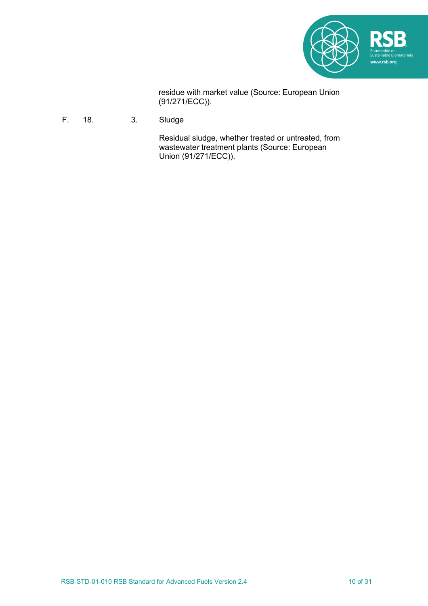

residue with market value (Source: European Union (91/271/ECC)).

F. 18. 3. Sludge

Residual sludge, whether treated or untreated, from wastewater treatment plants (Source: European Union (91/271/ECC)).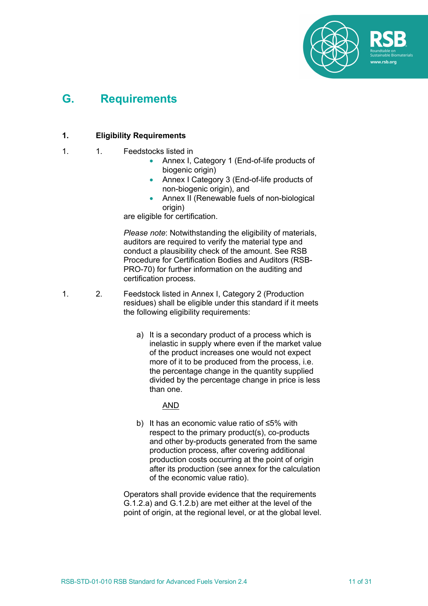

# **G. Requirements**

# **1. Eligibility Requirements**

- 1. 1. Feedstocks listed in
	- Annex I, Category 1 (End-of-life products of biogenic origin)
	- Annex I Category 3 (End-of-life products of non-biogenic origin), and
	- Annex II (Renewable fuels of non-biological origin)

are eligible for certification.

*Please note*: Notwithstanding the eligibility of materials, auditors are required to verify the material type and conduct a plausibility check of the amount. See RSB Procedure for Certification Bodies and Auditors (RSB-PRO-70) for further information on the auditing and certification process.

- 1. 2. Feedstock listed in Annex I, Category 2 (Production residues) shall be eligible under this standard if it meets the following eligibility requirements:
	- a) It is a secondary product of a process which is inelastic in supply where even if the market value of the product increases one would not expect more of it to be produced from the process, i.e. the percentage change in the quantity supplied divided by the percentage change in price is less than one.

AND

b) It has an economic value ratio of ≤5% with respect to the primary product(s), co-products and other by-products generated from the same production process, after covering additional production costs occurring at the point of origin after its production (see annex for the calculation of the economic value ratio).

Operators shall provide evidence that the requirements G.1.2.a) and G.1.2.b) are met either at the level of the point of origin, at the regional level, or at the global level.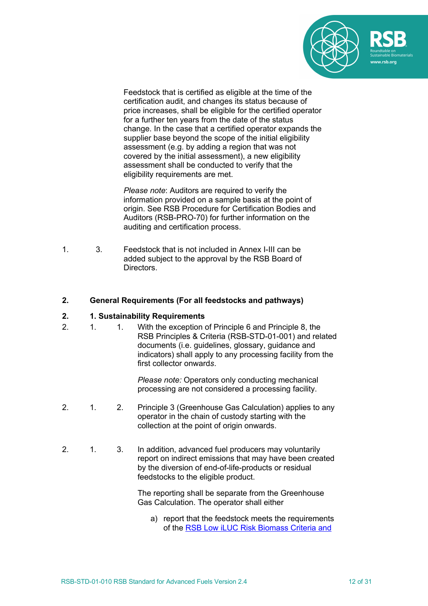

Feedstock that is certified as eligible at the time of the certification audit, and changes its status because of price increases, shall be eligible for the certified operator for a further ten years from the date of the status change. In the case that a certified operator expands the supplier base beyond the scope of the initial eligibility assessment (e.g. by adding a region that was not covered by the initial assessment), a new eligibility assessment shall be conducted to verify that the eligibility requirements are met.

*Please note*: Auditors are required to verify the information provided on a sample basis at the point of origin. See RSB Procedure for Certification Bodies and Auditors (RSB-PRO-70) for further information on the auditing and certification process.

1. 3. Feedstock that is not included in Annex I-III can be added subject to the approval by the RSB Board of Directors.

### **2. General Requirements (For all feedstocks and pathways)**

### **2. 1. Sustainability Requirements**

2. 1. 1. With the exception of Principle 6 and Principle 8, the RSB Principles & Criteria (RSB-STD-01-001) and related documents (i.e. guidelines, glossary, guidance and indicators) shall apply to any processing facility from the first collector onward*s*.

> *Please note:* Operators only conducting mechanical processing are not considered a processing facility.

- 2. 1. 2. Principle 3 (Greenhouse Gas Calculation) applies to any operator in the chain of custody starting with the collection at the point of origin onwards.
- 2. 1. 3. In addition, advanced fuel producers may voluntarily report on indirect emissions that may have been created by the diversion of end-of-life-products or residual feedstocks to the eligible product.

The reporting shall be separate from the Greenhouse Gas Calculation. The operator shall either

a) report that the feedstock meets the requirements of the RSB Low iLUC Risk Biomass Criteria and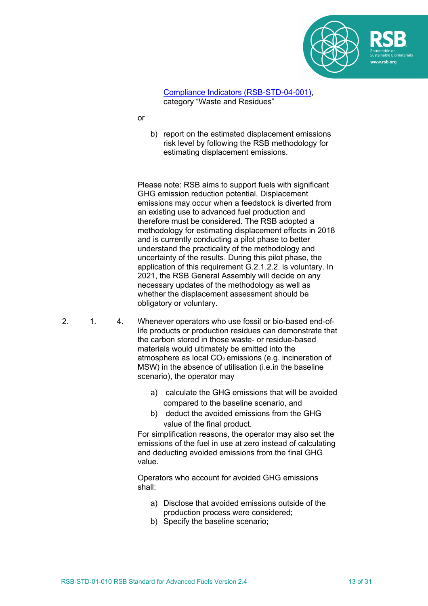

### Compliance Indicators (RSB-STD-04-001), category "Waste and Residues"

- or
- b) report on the estimated displacement emissions risk level by following the RSB methodology for estimating displacement emissions.

Please note: RSB aims to support fuels with significant GHG emission reduction potential. Displacement emissions may occur when a feedstock is diverted from an existing use to advanced fuel production and therefore must be considered. The RSB adopted a methodology for estimating displacement effects in 2018 and is currently conducting a pilot phase to better understand the practicality of the methodology and uncertainty of the results. During this pilot phase, the application of this requirement G.2.1.2.2. is voluntary. In 2021, the RSB General Assembly will decide on any necessary updates of the methodology as well as whether the displacement assessment should be obligatory or voluntary.

- 2. 1. 4. Whenever operators who use fossil or bio-based end-oflife products or production residues can demonstrate that the carbon stored in those waste- or residue-based materials would ultimately be emitted into the atmosphere as local  $CO<sub>2</sub>$  emissions (e.g. incineration of MSW) in the absence of utilisation (i.e.in the baseline scenario), the operator may
	- a) calculate the GHG emissions that will be avoided compared to the baseline scenario, and
	- b) deduct the avoided emissions from the GHG value of the final product.

For simplification reasons, the operator may also set the emissions of the fuel in use at zero instead of calculating and deducting avoided emissions from the final GHG value.

Operators who account for avoided GHG emissions shall:

- a) Disclose that avoided emissions outside of the production process were considered;
- b) Specify the baseline scenario;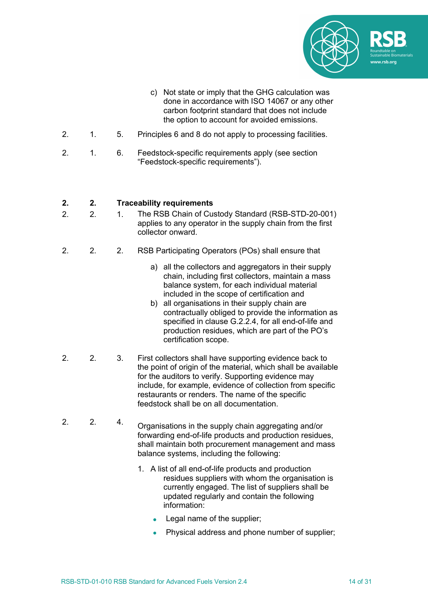

- c) Not state or imply that the GHG calculation was done in accordance with ISO 14067 or any other carbon footprint standard that does not include the option to account for avoided emissions.
- 2. 1. 5. Principles 6 and 8 do not apply to processing facilities.
- 2. 1. 6. Feedstock-specific requirements apply (see section "Feedstock-specific requirements").

## **2. 2. Traceability requirements**

- 2. 2. 1. The RSB Chain of Custody Standard (RSB-STD-20-001) applies to any operator in the supply chain from the first collector onward.
- 2. 2. 2. RSB Participating Operators (POs) shall ensure that
	- a) all the collectors and aggregators in their supply chain, including first collectors, maintain a mass balance system, for each individual material included in the scope of certification and
	- b) all organisations in their supply chain are contractually obliged to provide the information as specified in clause G.2.2.4, for all end-of-life and production residues, which are part of the PO's certification scope.
- 2. 2. 3. First collectors shall have supporting evidence back to the point of origin of the material, which shall be available for the auditors to verify. Supporting evidence may include, for example, evidence of collection from specific restaurants or renders. The name of the specific feedstock shall be on all documentation.
- 2. 2. 4. Organisations in the supply chain aggregating and/or forwarding end-of-life products and production residues, shall maintain both procurement management and mass balance systems, including the following:
	- 1. A list of all end-of-life products and production residues suppliers with whom the organisation is currently engaged. The list of suppliers shall be updated regularly and contain the following information:
		- Legal name of the supplier;
		- Physical address and phone number of supplier;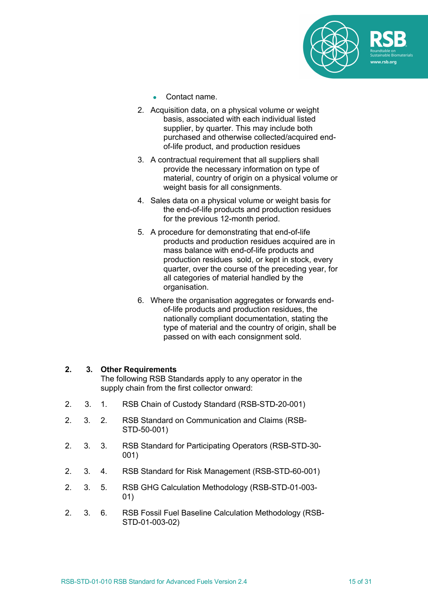

- Contact name.
- 2. Acquisition data, on a physical volume or weight basis, associated with each individual listed supplier, by quarter. This may include both purchased and otherwise collected/acquired endof-life product, and production residues
- 3. A contractual requirement that all suppliers shall provide the necessary information on type of material, country of origin on a physical volume or weight basis for all consignments.
- 4. Sales data on a physical volume or weight basis for the end-of-life products and production residues for the previous 12-month period.
- 5. A procedure for demonstrating that end-of-life products and production residues acquired are in mass balance with end-of-life products and production residues sold, or kept in stock, every quarter, over the course of the preceding year, for all categories of material handled by the organisation.
- 6. Where the organisation aggregates or forwards endof-life products and production residues, the nationally compliant documentation, stating the type of material and the country of origin, shall be passed on with each consignment sold.

## **2. 3. Other Requirements**

The following RSB Standards apply to any operator in the supply chain from the first collector onward:

- 2. 3. 1. RSB Chain of Custody Standard (RSB-STD-20-001)
- 2. 3. 2. RSB Standard on Communication and Claims (RSB-STD-50-001)
- 2. 3. 3. RSB Standard for Participating Operators (RSB-STD-30- 001)
- 2. 3. 4. RSB Standard for Risk Management (RSB-STD-60-001)
- 2. 3. 5. RSB GHG Calculation Methodology (RSB-STD-01-003- 01)
- 2. 3. 6. RSB Fossil Fuel Baseline Calculation Methodology (RSB-STD-01-003-02)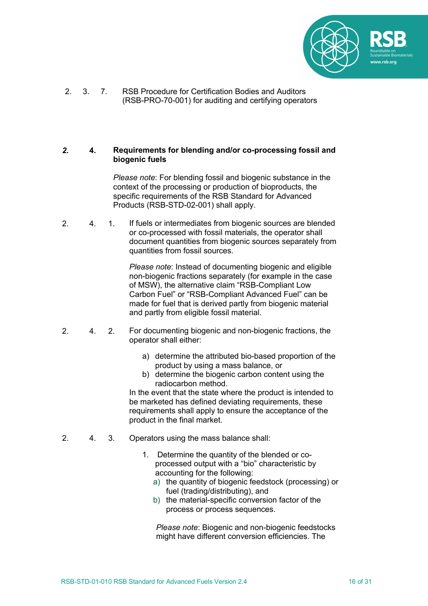

2. 3. 7. RSB Procedure for Certification Bodies and Auditors (RSB-PRO-70-001) for auditing and certifying operators

### *2.* **4. Requirements for blending and/or co-processing fossil and biogenic fuels**

*Please note*: For blending fossil and biogenic substance in the context of the processing or production of bioproducts, the specific requirements of the RSB Standard for Advanced Products (RSB-STD-02-001) shall apply.

2. 4. 1. If fuels or intermediates from biogenic sources are blended or co-processed with fossil materials, the operator shall document quantities from biogenic sources separately from quantities from fossil sources.

> *Please note*: Instead of documenting biogenic and eligible non-biogenic fractions separately (for example in the case of MSW), the alternative claim "RSB-Compliant Low Carbon Fuel" or "RSB-Compliant Advanced Fuel" can be made for fuel that is derived partly from biogenic material and partly from eligible fossil material.

- 2. 4. 2. For documenting biogenic and non-biogenic fractions, the operator shall either:
	- a) determine the attributed bio-based proportion of the product by using a mass balance, or
	- b) determine the biogenic carbon content using the radiocarbon method.

In the event that the state where the product is intended to be marketed has defined deviating requirements, these requirements shall apply to ensure the acceptance of the product in the final market.

- 2. 4. 3. Operators using the mass balance shall:
	- 1. Determine the quantity of the blended or coprocessed output with a "bio" characteristic by accounting for the following:
		- a) the quantity of biogenic feedstock (processing) or fuel (trading/distributing), and
		- b) the material-specific conversion factor of the process or process sequences.

*Please note*: Biogenic and non-biogenic feedstocks might have different conversion efficiencies. The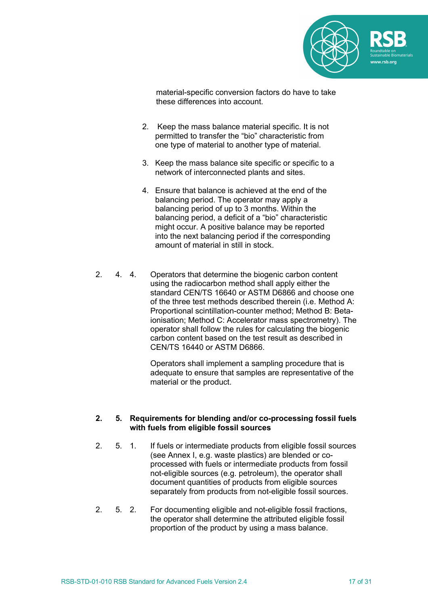

material-specific conversion factors do have to take these differences into account.

- 2. Keep the mass balance material specific. It is not permitted to transfer the "bio" characteristic from one type of material to another type of material.
- 3. Keep the mass balance site specific or specific to a network of interconnected plants and sites.
- 4. Ensure that balance is achieved at the end of the balancing period. The operator may apply a balancing period of up to 3 months. Within the balancing period, a deficit of a "bio" characteristic might occur. A positive balance may be reported into the next balancing period if the corresponding amount of material in still in stock.
- 2. 4. 4. Operators that determine the biogenic carbon content using the radiocarbon method shall apply either the standard CEN/TS 16640 or ASTM D6866 and choose one of the three test methods described therein (i.e. Method A: Proportional scintillation-counter method; Method B: Betaionisation; Method C: Accelerator mass spectrometry). The operator shall follow the rules for calculating the biogenic carbon content based on the test result as described in CEN/TS 16440 or ASTM D6866.

Operators shall implement a sampling procedure that is adequate to ensure that samples are representative of the material or the product.

### **2. 5. Requirements for blending and/or co-processing fossil fuels with fuels from eligible fossil sources**

- 2. 5. 1. If fuels or intermediate products from eligible fossil sources (see Annex I, e.g. waste plastics) are blended or coprocessed with fuels or intermediate products from fossil not-eligible sources (e.g. petroleum), the operator shall document quantities of products from eligible sources separately from products from not-eligible fossil sources.
- 2. 5. 2. For documenting eligible and not-eligible fossil fractions, the operator shall determine the attributed eligible fossil proportion of the product by using a mass balance.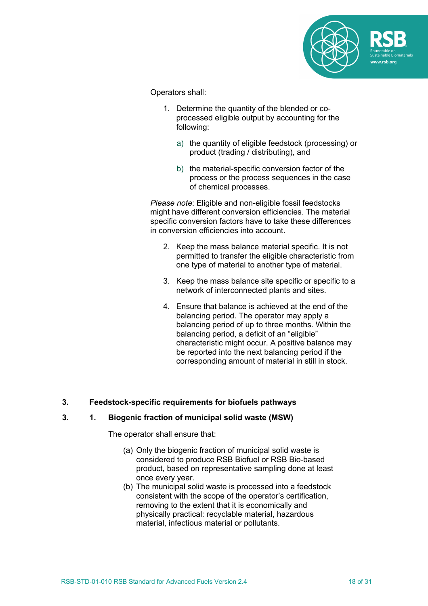

Operators shall:

- 1. Determine the quantity of the blended or coprocessed eligible output by accounting for the following:
	- a) the quantity of eligible feedstock (processing) or product (trading / distributing), and
	- b) the material-specific conversion factor of the process or the process sequences in the case of chemical processes.

*Please note*: Eligible and non-eligible fossil feedstocks might have different conversion efficiencies. The material specific conversion factors have to take these differences in conversion efficiencies into account.

- 2. Keep the mass balance material specific. It is not permitted to transfer the eligible characteristic from one type of material to another type of material.
- 3. Keep the mass balance site specific or specific to a network of interconnected plants and sites.
- 4. Ensure that balance is achieved at the end of the balancing period. The operator may apply a balancing period of up to three months. Within the balancing period, a deficit of an "eligible" characteristic might occur. A positive balance may be reported into the next balancing period if the corresponding amount of material in still in stock.

## **3. Feedstock-specific requirements for biofuels pathways**

## **3. 1. Biogenic fraction of municipal solid waste (MSW)**

The operator shall ensure that:

- (a) Only the biogenic fraction of municipal solid waste is considered to produce RSB Biofuel or RSB Bio-based product, based on representative sampling done at least once every year.
- (b) The municipal solid waste is processed into a feedstock consistent with the scope of the operator's certification, removing to the extent that it is economically and physically practical: recyclable material, hazardous material, infectious material or pollutants.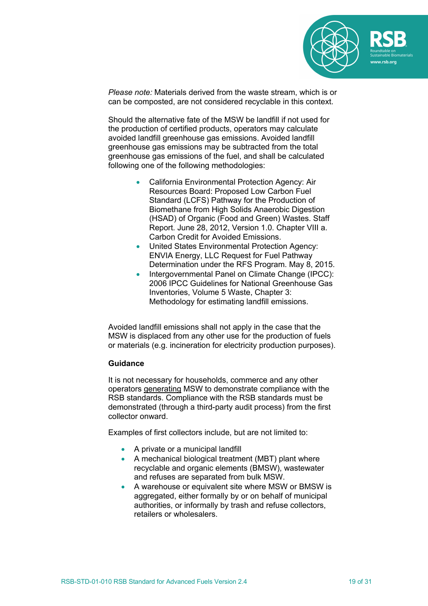

*Please note:* Materials derived from the waste stream, which is or can be composted, are not considered recyclable in this context.

Should the alternative fate of the MSW be landfill if not used for the production of certified products, operators may calculate avoided landfill greenhouse gas emissions. Avoided landfill greenhouse gas emissions may be subtracted from the total greenhouse gas emissions of the fuel, and shall be calculated following one of the following methodologies:

- California Environmental Protection Agency: Air Resources Board: Proposed Low Carbon Fuel Standard (LCFS) Pathway for the Production of Biomethane from High Solids Anaerobic Digestion (HSAD) of Organic (Food and Green) Wastes. Staff Report. June 28, 2012, Version 1.0. Chapter VIII a. Carbon Credit for Avoided Emissions.
- United States Environmental Protection Agency: ENVIA Energy, LLC Request for Fuel Pathway Determination under the RFS Program. May 8, 2015.
- Intergovernmental Panel on Climate Change (IPCC): 2006 IPCC Guidelines for National Greenhouse Gas Inventories, Volume 5 Waste, Chapter 3: Methodology for estimating landfill emissions.

Avoided landfill emissions shall not apply in the case that the MSW is displaced from any other use for the production of fuels or materials (e.g. incineration for electricity production purposes).

### **Guidance**

It is not necessary for households, commerce and any other operators generating MSW to demonstrate compliance with the RSB standards. Compliance with the RSB standards must be demonstrated (through a third-party audit process) from the first collector onward.

Examples of first collectors include, but are not limited to:

- A private or a municipal landfill
- A mechanical biological treatment (MBT) plant where recyclable and organic elements (BMSW), wastewater and refuses are separated from bulk MSW.
- A warehouse or equivalent site where MSW or BMSW is aggregated, either formally by or on behalf of municipal authorities, or informally by trash and refuse collectors, retailers or wholesalers.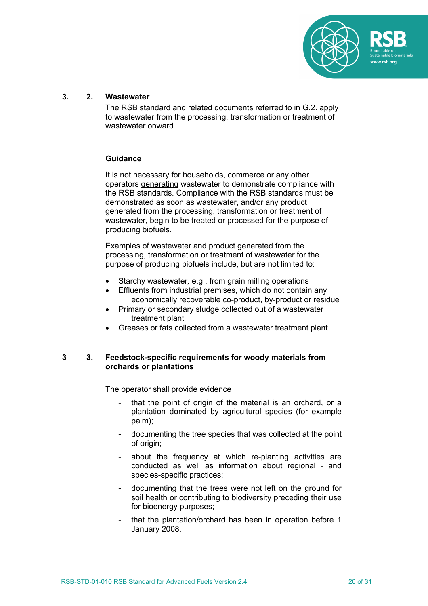

### **3. 2. Wastewater**

The RSB standard and related documents referred to in G.2. apply to wastewater from the processing, transformation or treatment of wastewater onward

## **Guidance**

It is not necessary for households, commerce or any other operators generating wastewater to demonstrate compliance with the RSB standards. Compliance with the RSB standards must be demonstrated as soon as wastewater, and/or any product generated from the processing, transformation or treatment of wastewater, begin to be treated or processed for the purpose of producing biofuels.

Examples of wastewater and product generated from the processing, transformation or treatment of wastewater for the purpose of producing biofuels include, but are not limited to:

- Starchy wastewater*,* e.g., from grain milling operations
- Effluents from industrial premises, which do not contain any economically recoverable co-product, by-product or residue
- Primary or secondary sludge collected out of a wastewater treatment plant
- Greases or fats collected from a wastewater treatment plant

### **3 3. Feedstock-specific requirements for woody materials from orchards or plantations**

The operator shall provide evidence

- that the point of origin of the material is an orchard, or a plantation dominated by agricultural species (for example palm);
- documenting the tree species that was collected at the point of origin;
- about the frequency at which re-planting activities are conducted as well as information about regional - and species-specific practices;
- documenting that the trees were not left on the ground for soil health or contributing to biodiversity preceding their use for bioenergy purposes;
- that the plantation/orchard has been in operation before 1 January 2008.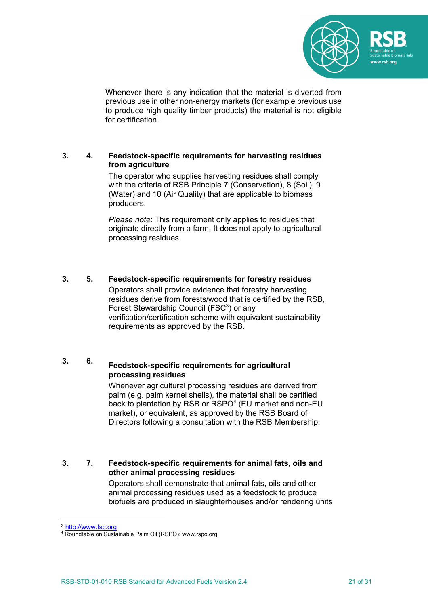

Whenever there is any indication that the material is diverted from previous use in other non-energy markets (for example previous use to produce high quality timber products) the material is not eligible for certification.

### **3. 4. Feedstock-specific requirements for harvesting residues from agriculture**

The operator who supplies harvesting residues shall comply with the criteria of RSB Principle 7 (Conservation), 8 (Soil), 9 (Water) and 10 (Air Quality) that are applicable to biomass producers.

*Please note*: This requirement only applies to residues that originate directly from a farm. It does not apply to agricultural processing residues.

# **3. 5. Feedstock-specific requirements for forestry residues**

Operators shall provide evidence that forestry harvesting residues derive from forests/wood that is certified by the RSB, Forest Stewardship Council (FSC $3$ ) or any verification/certification scheme with equivalent sustainability requirements as approved by the RSB.

# **3. 6. Feedstock-specific requirements for agricultural processing residues**

Whenever agricultural processing residues are derived from palm (e.g. palm kernel shells), the material shall be certified back to plantation by RSB or RSPO<sup>4</sup> (EU market and non-EU market), or equivalent, as approved by the RSB Board of Directors following a consultation with the RSB Membership.

# **3. 7. Feedstock-specific requirements for animal fats, oils and other animal processing residues**

Operators shall demonstrate that animal fats, oils and other animal processing residues used as a feedstock to produce biofuels are produced in slaughterhouses and/or rendering units

<sup>3</sup> http://www.fsc.org

<sup>4</sup> Roundtable on Sustainable Palm Oil (RSPO): www.rspo.org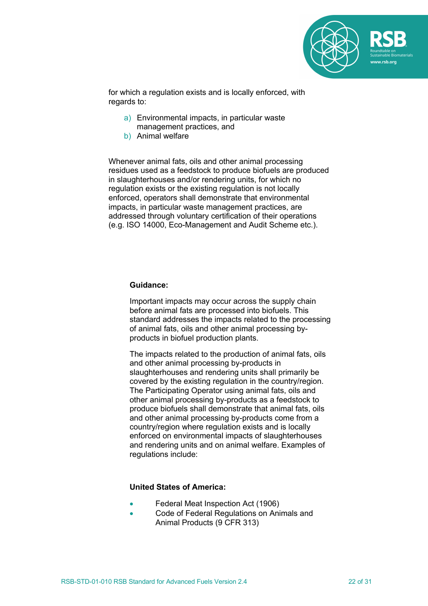

for which a regulation exists and is locally enforced, with regards to:

- a) Environmental impacts, in particular waste management practices, and
- b) Animal welfare

Whenever animal fats, oils and other animal processing residues used as a feedstock to produce biofuels are produced in slaughterhouses and/or rendering units, for which no regulation exists or the existing regulation is not locally enforced, operators shall demonstrate that environmental impacts, in particular waste management practices, are addressed through voluntary certification of their operations (e.g. ISO 14000, Eco-Management and Audit Scheme etc.).

#### **Guidance:**

Important impacts may occur across the supply chain before animal fats are processed into biofuels. This standard addresses the impacts related to the processing of animal fats, oils and other animal processing byproducts in biofuel production plants.

The impacts related to the production of animal fats, oils and other animal processing by-products in slaughterhouses and rendering units shall primarily be covered by the existing regulation in the country/region. The Participating Operator using animal fats, oils and other animal processing by-products as a feedstock to produce biofuels shall demonstrate that animal fats, oils and other animal processing by-products come from a country/region where regulation exists and is locally enforced on environmental impacts of slaughterhouses and rendering units and on animal welfare. Examples of regulations include:

#### **United States of America:**

- Federal Meat Inspection Act (1906)
- Code of Federal Regulations on Animals and Animal Products (9 CFR 313)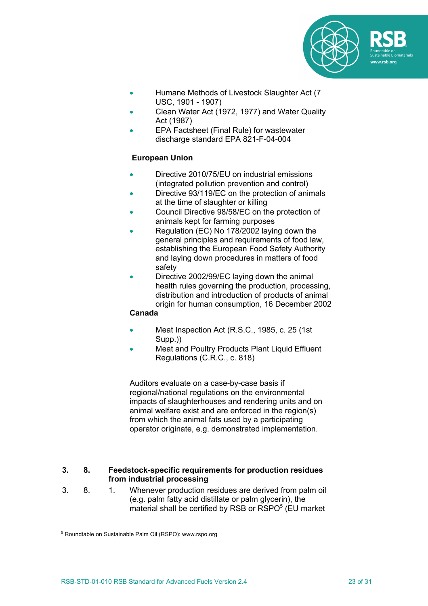

- Humane Methods of Livestock Slaughter Act (7 USC, 1901 - 1907)
- Clean Water Act (1972, 1977) and Water Quality Act (1987)
- EPA Factsheet (Final Rule) for wastewater discharge standard EPA 821-F-04-004

# **European Union**

- Directive 2010/75/EU on industrial emissions (integrated pollution prevention and control)
- Directive 93/119/EC on the protection of animals at the time of slaughter or killing
- Council Directive 98/58/EC on the protection of animals kept for farming purposes
- Regulation (EC) No 178/2002 laying down the general principles and requirements of food law, establishing the European Food Safety Authority and laying down procedures in matters of food safety
- Directive 2002/99/EC laying down the animal health rules governing the production, processing, distribution and introduction of products of animal origin for human consumption, 16 December 2002

## **Canada**

- Meat Inspection Act (R.S.C., 1985, c. 25 (1st Supp.))
- Meat and Poultry Products Plant Liquid Effluent Regulations (C.R.C., c. 818)

Auditors evaluate on a case-by-case basis if regional/national regulations on the environmental impacts of slaughterhouses and rendering units and on animal welfare exist and are enforced in the region(s) from which the animal fats used by a participating operator originate, e.g. demonstrated implementation.

### **3. 8. Feedstock-specific requirements for production residues from industrial processing**

3. 8. 1. Whenever production residues are derived from palm oil (e.g. palm fatty acid distillate or palm glycerin), the material shall be certified by RSB or RSPO<sup>5</sup> (EU market)

<sup>5</sup> Roundtable on Sustainable Palm Oil (RSPO): www.rspo.org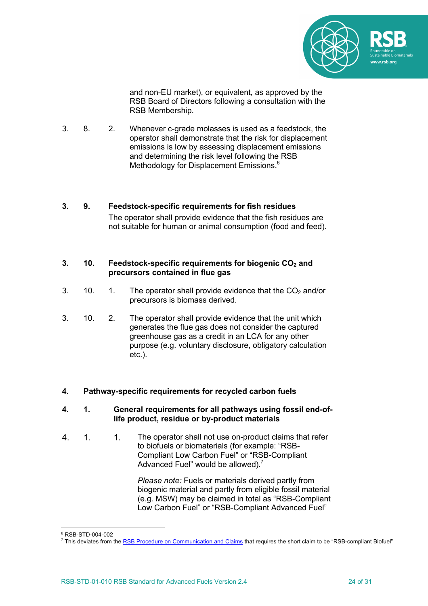

and non-EU market), or equivalent, as approved by the RSB Board of Directors following a consultation with the RSB Membership.

3. 8. 2. Whenever c-grade molasses is used as a feedstock, the operator shall demonstrate that the risk for displacement emissions is low by assessing displacement emissions and determining the risk level following the RSB Methodology for Displacement Emissions. 6

## **3. 9. Feedstock-specific requirements for fish residues** The operator shall provide evidence that the fish residues are not suitable for human or animal consumption (food and feed).

### **3. 10. Feedstock-specific requirements for biogenic CO<sub>2</sub> and precursors contained in flue gas**

- 3. 10. 1. The operator shall provide evidence that the  $CO<sub>2</sub>$  and/or precursors is biomass derived.
- 3. 10. 2. The operator shall provide evidence that the unit which generates the flue gas does not consider the captured greenhouse gas as a credit in an LCA for any other purpose (e.g. voluntary disclosure, obligatory calculation etc.).

# **4. Pathway-specific requirements for recycled carbon fuels**

### **4. 1. General requirements for all pathways using fossil end-oflife product, residue or by-product materials**

4. 1. 1. The operator shall not use on-product claims that refer to biofuels or biomaterials (for example: "RSB-Compliant Low Carbon Fuel" or "RSB-Compliant Advanced Fuel" would be allowed). $<sup>7</sup>$ </sup>

> *Please note:* Fuels or materials derived partly from biogenic material and partly from eligible fossil material (e.g. MSW) may be claimed in total as "RSB-Compliant Low Carbon Fuel" or "RSB-Compliant Advanced Fuel"

<sup>6</sup> RSB-STD-004-002

<sup>7</sup> This deviates from the RSB Procedure on Communication and Claims that requires the short claim to be "RSB-compliant Biofuel"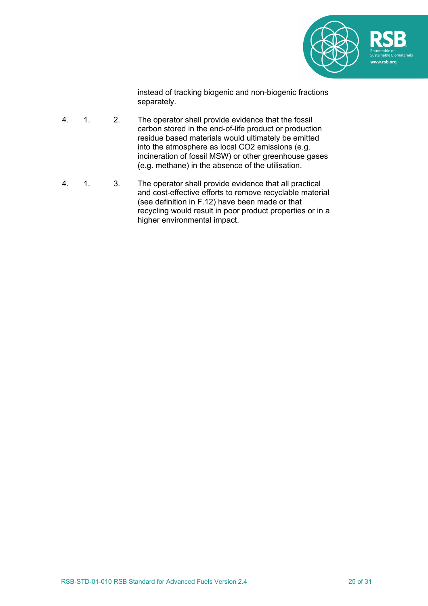

instead of tracking biogenic and non-biogenic fractions separately.

- 4. 1. 2. The operator shall provide evidence that the fossil carbon stored in the end-of-life product or production residue based materials would ultimately be emitted into the atmosphere as local CO2 emissions (e.g. incineration of fossil MSW) or other greenhouse gases (e.g. methane) in the absence of the utilisation.
- 4. 1. 3. The operator shall provide evidence that all practical and cost-effective efforts to remove recyclable material (see definition in F.12) have been made or that recycling would result in poor product properties or in a higher environmental impact.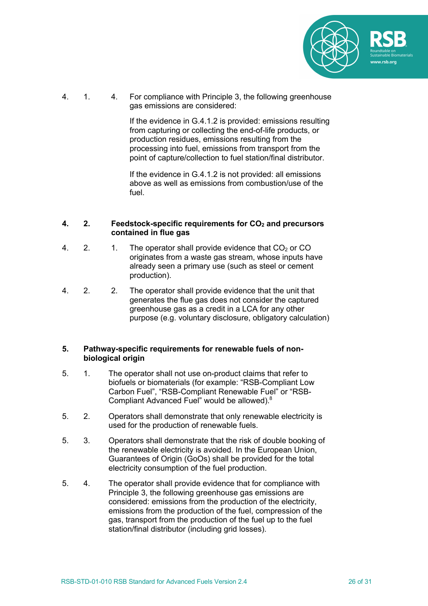

4. 1. 4. For compliance with Principle 3, the following greenhouse gas emissions are considered:

> If the evidence in G.4.1.2 is provided: emissions resulting from capturing or collecting the end-of-life products, or production residues, emissions resulting from the processing into fuel, emissions from transport from the point of capture/collection to fuel station/final distributor.

If the evidence in G.4.1.2 is not provided: all emissions above as well as emissions from combustion/use of the fuel.

### **4. 2. Feedstock-specific requirements for CO2 and precursors contained in flue gas**

- 4. 2. 1. The operator shall provide evidence that  $CO<sub>2</sub>$  or CO originates from a waste gas stream, whose inputs have already seen a primary use (such as steel or cement production).
- 4. 2. 2. The operator shall provide evidence that the unit that generates the flue gas does not consider the captured greenhouse gas as a credit in a LCA for any other purpose (e.g. voluntary disclosure, obligatory calculation)

### **5. Pathway-specific requirements for renewable fuels of nonbiological origin**

- 5. 1. The operator shall not use on-product claims that refer to biofuels or biomaterials (for example: "RSB-Compliant Low Carbon Fuel", "RSB-Compliant Renewable Fuel" or "RSB-Compliant Advanced Fuel" would be allowed).8
- 5. 2. Operators shall demonstrate that only renewable electricity is used for the production of renewable fuels.
- 5. 3. Operators shall demonstrate that the risk of double booking of the renewable electricity is avoided. In the European Union, Guarantees of Origin (GoOs) shall be provided for the total electricity consumption of the fuel production.
- 5. 4. The operator shall provide evidence that for compliance with Principle 3, the following greenhouse gas emissions are considered: emissions from the production of the electricity, emissions from the production of the fuel, compression of the gas, transport from the production of the fuel up to the fuel station/final distributor (including grid losses).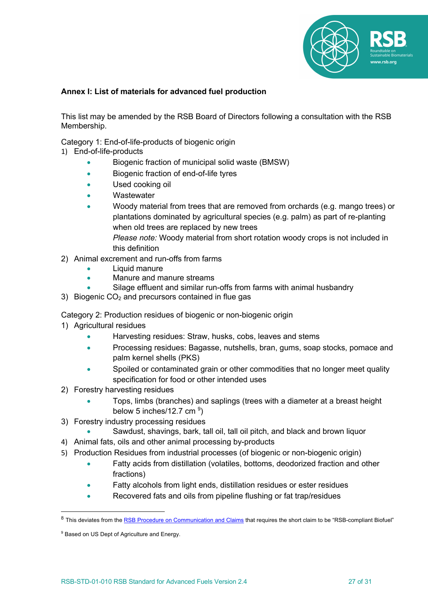

# **Annex I: List of materials for advanced fuel production**

This list may be amended by the RSB Board of Directors following a consultation with the RSB Membership.

Category 1: End-of-life-products of biogenic origin

- 1) End-of-life-products
	- Biogenic fraction of municipal solid waste (BMSW)
	- Biogenic fraction of end-of-life tyres
	- Used cooking oil
	- Wastewater
	- Woody material from trees that are removed from orchards (e.g. mango trees) or plantations dominated by agricultural species (e.g. palm) as part of re-planting when old trees are replaced by new trees *Please note:* Woody material from short rotation woody crops is not included in
- this definition 2) Animal excrement and run-offs from farms
	- Liquid manure
	- Manure and manure streams
	- Silage effluent and similar run-offs from farms with animal husbandry
- 3) Biogenic  $CO<sub>2</sub>$  and precursors contained in flue gas

Category 2: Production residues of biogenic or non-biogenic origin

- 1) Agricultural residues
	- Harvesting residues: Straw, husks, cobs, leaves and stems
	- Processing residues: Bagasse, nutshells, bran, gums, soap stocks, pomace and palm kernel shells (PKS)
	- Spoiled or contaminated grain or other commodities that no longer meet quality specification for food or other intended uses
- 2) Forestry harvesting residues
	- Tops, limbs (branches) and saplings (trees with a diameter at a breast height below 5 inches/12.7 cm  $9$ )
- 3) Forestry industry processing residues
	- Sawdust, shavings, bark, tall oil, tall oil pitch, and black and brown liquor
- 4) Animal fats, oils and other animal processing by-products
- 5) Production Residues from industrial processes (of biogenic or non-biogenic origin)
	- Fatty acids from distillation (volatiles, bottoms, deodorized fraction and other fractions)
	- Fatty alcohols from light ends, distillation residues or ester residues
	- Recovered fats and oils from pipeline flushing or fat trap/residues

<sup>&</sup>lt;sup>8</sup> This deviates from the **RSB Procedure on Communication and Claims** that requires the short claim to be "RSB-compliant Biofuel"

<sup>&</sup>lt;sup>9</sup> Based on US Dept of Agriculture and Energy.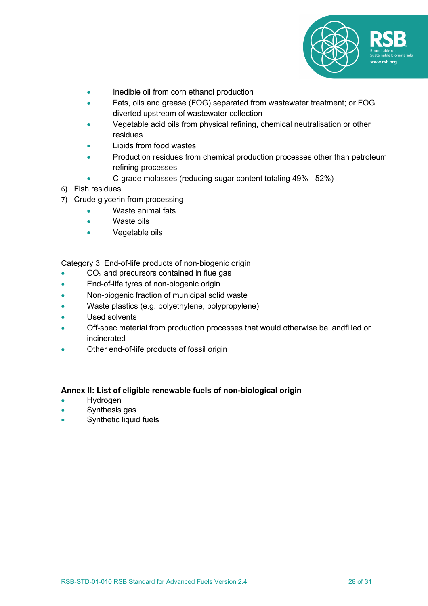

- Inedible oil from corn ethanol production
- Fats, oils and grease (FOG) separated from wastewater treatment; or FOG diverted upstream of wastewater collection
- Vegetable acid oils from physical refining, chemical neutralisation or other residues
- Lipids from food wastes
- Production residues from chemical production processes other than petroleum refining processes
	- C-grade molasses (reducing sugar content totaling 49% 52%)
- 6) Fish residues
- 7) Crude glycerin from processing
	- Waste animal fats
		- Waste oils
		- Vegetable oils

Category 3: End-of-life products of non-biogenic origin

- $\bullet$  CO<sub>2</sub> and precursors contained in flue gas
- End-of-life tyres of non-biogenic origin
- Non-biogenic fraction of municipal solid waste
- Waste plastics (e.g. polyethylene, polypropylene)
- Used solvents
- Off-spec material from production processes that would otherwise be landfilled or incinerated
- Other end-of-life products of fossil origin

### **Annex II: List of eligible renewable fuels of non-biological origin**

- Hydrogen
- Synthesis gas
- Synthetic liquid fuels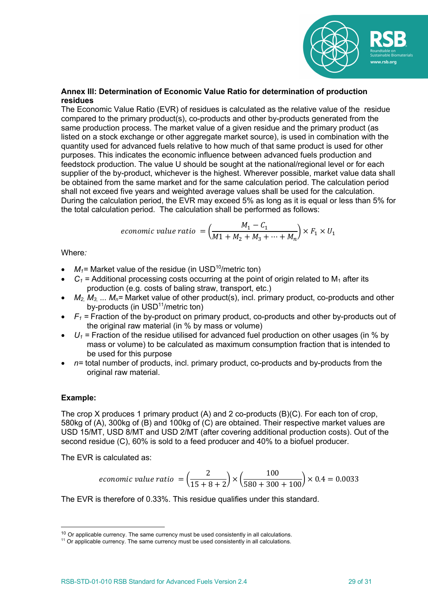

## **Annex III: Determination of Economic Value Ratio for determination of production residues**

The Economic Value Ratio (EVR) of residues is calculated as the relative value of the residue compared to the primary product(s), co-products and other by-products generated from the same production process. The market value of a given residue and the primary product (as listed on a stock exchange or other aggregate market source), is used in combination with the quantity used for advanced fuels relative to how much of that same product is used for other purposes. This indicates the economic influence between advanced fuels production and feedstock production. The value U should be sought at the national/regional level or for each supplier of the by-product, whichever is the highest. Wherever possible, market value data shall be obtained from the same market and for the same calculation period. The calculation period shall not exceed five years and weighted average values shall be used for the calculation. During the calculation period, the EVR may exceed 5% as long as it is equal or less than 5% for the total calculation period. The calculation shall be performed as follows:

$$
economic\ value\ ratio\ = \left(\frac{M_1 - C_1}{M_1 + M_2 + M_3 + \dots + M_n}\right) \times F_1 \times U_1
$$

Where*:*

- $M_1$ = Market value of the residue (in USD<sup>10</sup>/metric ton)
- $C_1$  = Additional processing costs occurring at the point of origin related to  $M_1$  after its production (e.g. costs of baling straw, transport, etc.)
- $M_2$ ,  $M_3$ ,  $M_0$ = Market value of other product(s), incl. primary product, co-products and other by-products (in USD<sup>11</sup>/metric ton)
- $F_1$  = Fraction of the by-product on primary product, co-products and other by-products out of the original raw material (in % by mass or volume)
- $U_1$  = Fraction of the residue utilised for advanced fuel production on other usages (in % by mass or volume) to be calculated as maximum consumption fraction that is intended to be used for this purpose
- *n=* total number of products, incl. primary product, co-products and by-products from the original raw material.

## **Example:**

The crop X produces 1 primary product (A) and 2 co-products (B)(C). For each ton of crop, 580kg of (A), 300kg of (B) and 100kg of (C) are obtained. Their respective market values are USD 15/MT, USD 8/MT and USD 2/MT (after covering additional production costs). Out of the second residue (C), 60% is sold to a feed producer and 40% to a biofuel producer.

The EVR is calculated as:

$$
economic\ value\ ratio\ = \left(\frac{2}{15+8+2}\right) \times \left(\frac{100}{580+300+100}\right) \times 0.4 = 0.0033
$$

The EVR is therefore of 0.33%. This residue qualifies under this standard.

 $10$  Or applicable currency. The same currency must be used consistently in all calculations.

<sup>&</sup>lt;sup>11</sup> Or applicable currency. The same currency must be used consistently in all calculations.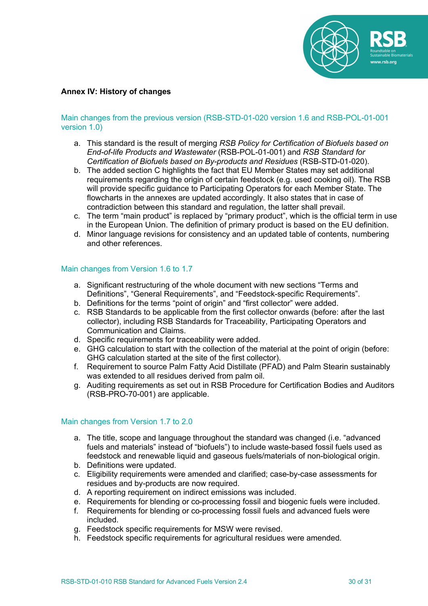

## **Annex IV: History of changes**

### Main changes from the previous version (RSB-STD-01-020 version 1.6 and RSB-POL-01-001 version 1.0)

- a. This standard is the result of merging *RSB Policy for Certification of Biofuels based on End-of-life Products and Wastewater* (RSB-POL-01-001) and *RSB Standard for Certification of Biofuels based on By-products and Residues* (RSB-STD-01-020).
- b. The added section C highlights the fact that EU Member States may set additional requirements regarding the origin of certain feedstock (e.g. used cooking oil). The RSB will provide specific guidance to Participating Operators for each Member State. The flowcharts in the annexes are updated accordingly. It also states that in case of contradiction between this standard and regulation, the latter shall prevail.
- c. The term "main product" is replaced by "primary product", which is the official term in use in the European Union. The definition of primary product is based on the EU definition.
- d. Minor language revisions for consistency and an updated table of contents, numbering and other references.

### Main changes from Version 1.6 to 1.7

- a. Significant restructuring of the whole document with new sections "Terms and Definitions", "General Requirements", and "Feedstock-specific Requirements".
- b. Definitions for the terms "point of origin" and "first collector" were added.
- c. RSB Standards to be applicable from the first collector onwards (before: after the last collector), including RSB Standards for Traceability, Participating Operators and Communication and Claims.
- d. Specific requirements for traceability were added.
- e. GHG calculation to start with the collection of the material at the point of origin (before: GHG calculation started at the site of the first collector).
- f. Requirement to source Palm Fatty Acid Distillate (PFAD) and Palm Stearin sustainably was extended to all residues derived from palm oil.
- g. Auditing requirements as set out in RSB Procedure for Certification Bodies and Auditors (RSB-PRO-70-001) are applicable.

### Main changes from Version 1.7 to 2.0

- a. The title, scope and language throughout the standard was changed (i.e. "advanced fuels and materials" instead of "biofuels") to include waste-based fossil fuels used as feedstock and renewable liquid and gaseous fuels/materials of non-biological origin.
- b. Definitions were updated.
- c. Eligibility requirements were amended and clarified; case-by-case assessments for residues and by-products are now required.
- d. A reporting requirement on indirect emissions was included.
- e. Requirements for blending or co-processing fossil and biogenic fuels were included.
- f. Requirements for blending or co-processing fossil fuels and advanced fuels were included.
- g. Feedstock specific requirements for MSW were revised.
- h. Feedstock specific requirements for agricultural residues were amended.